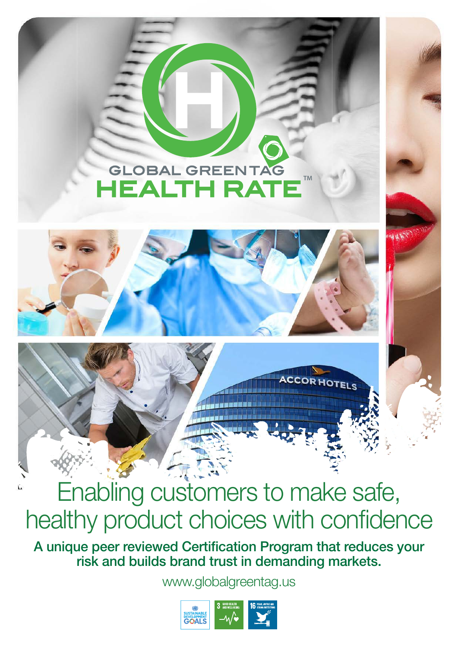## **GLOBAL GREENTAG TM HEALTH RATE**





## Enabling customers to make safe, healthy product choices with confidence

A unique peer reviewed Certification Program that reduces your risk and builds brand trust in demanding markets.

www.globalgreentag.us